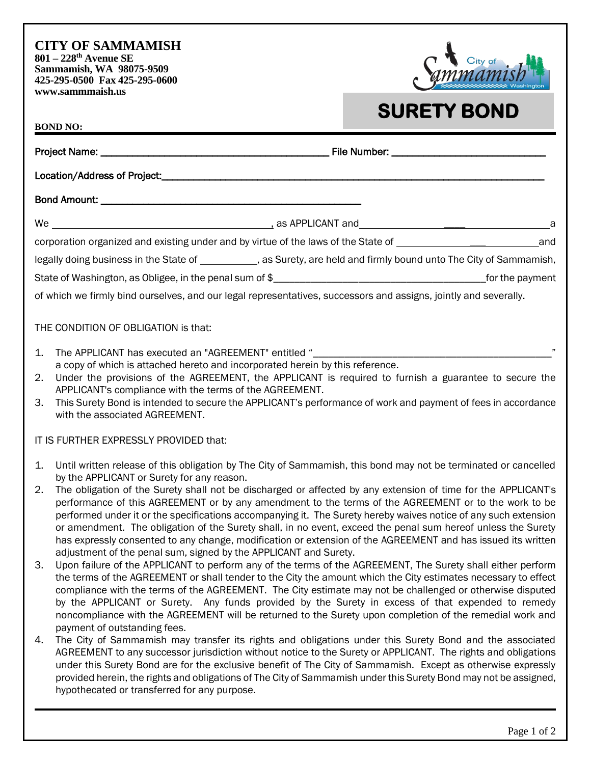## **CITY OF SAMMAMISH**

**801 – 228th Avenue SE Sammamish, WA 98075-9509 425-295-0500 Fax 425-295-0600 www.sammmaish.us**



## **SURETY BOND**

| <b>BOND NO:</b>      |                                                                                                                                                                                                                                                                                                                                                                                                                                                                                                                                                                                                                                                                                                                                                                                                                                                                                                                                                                                                                                                                                                                                                                                                                                                                                                                                                                                                                                                                                                                                                                                                                                                                                                                                                                                                                                                                                                                              |  |  |
|----------------------|------------------------------------------------------------------------------------------------------------------------------------------------------------------------------------------------------------------------------------------------------------------------------------------------------------------------------------------------------------------------------------------------------------------------------------------------------------------------------------------------------------------------------------------------------------------------------------------------------------------------------------------------------------------------------------------------------------------------------------------------------------------------------------------------------------------------------------------------------------------------------------------------------------------------------------------------------------------------------------------------------------------------------------------------------------------------------------------------------------------------------------------------------------------------------------------------------------------------------------------------------------------------------------------------------------------------------------------------------------------------------------------------------------------------------------------------------------------------------------------------------------------------------------------------------------------------------------------------------------------------------------------------------------------------------------------------------------------------------------------------------------------------------------------------------------------------------------------------------------------------------------------------------------------------------|--|--|
|                      |                                                                                                                                                                                                                                                                                                                                                                                                                                                                                                                                                                                                                                                                                                                                                                                                                                                                                                                                                                                                                                                                                                                                                                                                                                                                                                                                                                                                                                                                                                                                                                                                                                                                                                                                                                                                                                                                                                                              |  |  |
|                      |                                                                                                                                                                                                                                                                                                                                                                                                                                                                                                                                                                                                                                                                                                                                                                                                                                                                                                                                                                                                                                                                                                                                                                                                                                                                                                                                                                                                                                                                                                                                                                                                                                                                                                                                                                                                                                                                                                                              |  |  |
|                      |                                                                                                                                                                                                                                                                                                                                                                                                                                                                                                                                                                                                                                                                                                                                                                                                                                                                                                                                                                                                                                                                                                                                                                                                                                                                                                                                                                                                                                                                                                                                                                                                                                                                                                                                                                                                                                                                                                                              |  |  |
|                      |                                                                                                                                                                                                                                                                                                                                                                                                                                                                                                                                                                                                                                                                                                                                                                                                                                                                                                                                                                                                                                                                                                                                                                                                                                                                                                                                                                                                                                                                                                                                                                                                                                                                                                                                                                                                                                                                                                                              |  |  |
|                      | corporation organized and existing under and by virtue of the laws of the State of __________________________and                                                                                                                                                                                                                                                                                                                                                                                                                                                                                                                                                                                                                                                                                                                                                                                                                                                                                                                                                                                                                                                                                                                                                                                                                                                                                                                                                                                                                                                                                                                                                                                                                                                                                                                                                                                                             |  |  |
|                      | legally doing business in the State of ___________, as Surety, are held and firmly bound unto The City of Sammamish,                                                                                                                                                                                                                                                                                                                                                                                                                                                                                                                                                                                                                                                                                                                                                                                                                                                                                                                                                                                                                                                                                                                                                                                                                                                                                                                                                                                                                                                                                                                                                                                                                                                                                                                                                                                                         |  |  |
|                      |                                                                                                                                                                                                                                                                                                                                                                                                                                                                                                                                                                                                                                                                                                                                                                                                                                                                                                                                                                                                                                                                                                                                                                                                                                                                                                                                                                                                                                                                                                                                                                                                                                                                                                                                                                                                                                                                                                                              |  |  |
|                      | of which we firmly bind ourselves, and our legal representatives, successors and assigns, jointly and severally.                                                                                                                                                                                                                                                                                                                                                                                                                                                                                                                                                                                                                                                                                                                                                                                                                                                                                                                                                                                                                                                                                                                                                                                                                                                                                                                                                                                                                                                                                                                                                                                                                                                                                                                                                                                                             |  |  |
|                      | THE CONDITION OF OBLIGATION is that:                                                                                                                                                                                                                                                                                                                                                                                                                                                                                                                                                                                                                                                                                                                                                                                                                                                                                                                                                                                                                                                                                                                                                                                                                                                                                                                                                                                                                                                                                                                                                                                                                                                                                                                                                                                                                                                                                         |  |  |
| 1.<br>2.<br>3.       | a copy of which is attached hereto and incorporated herein by this reference.<br>Under the provisions of the AGREEMENT, the APPLICANT is required to furnish a guarantee to secure the<br>APPLICANT's compliance with the terms of the AGREEMENT.<br>This Surety Bond is intended to secure the APPLICANT's performance of work and payment of fees in accordance<br>with the associated AGREEMENT.                                                                                                                                                                                                                                                                                                                                                                                                                                                                                                                                                                                                                                                                                                                                                                                                                                                                                                                                                                                                                                                                                                                                                                                                                                                                                                                                                                                                                                                                                                                          |  |  |
|                      | IT IS FURTHER EXPRESSLY PROVIDED that:                                                                                                                                                                                                                                                                                                                                                                                                                                                                                                                                                                                                                                                                                                                                                                                                                                                                                                                                                                                                                                                                                                                                                                                                                                                                                                                                                                                                                                                                                                                                                                                                                                                                                                                                                                                                                                                                                       |  |  |
| 1.<br>2.<br>3.<br>4. | Until written release of this obligation by The City of Sammamish, this bond may not be terminated or cancelled<br>by the APPLICANT or Surety for any reason.<br>The obligation of the Surety shall not be discharged or affected by any extension of time for the APPLICANT's<br>performance of this AGREEMENT or by any amendment to the terms of the AGREEMENT or to the work to be<br>performed under it or the specifications accompanying it. The Surety hereby waives notice of any such extension<br>or amendment. The obligation of the Surety shall, in no event, exceed the penal sum hereof unless the Surety<br>has expressly consented to any change, modification or extension of the AGREEMENT and has issued its written<br>adjustment of the penal sum, signed by the APPLICANT and Surety.<br>Upon failure of the APPLICANT to perform any of the terms of the AGREEMENT, The Surety shall either perform<br>the terms of the AGREEMENT or shall tender to the City the amount which the City estimates necessary to effect<br>compliance with the terms of the AGREEMENT. The City estimate may not be challenged or otherwise disputed<br>by the APPLICANT or Surety. Any funds provided by the Surety in excess of that expended to remedy<br>noncompliance with the AGREEMENT will be returned to the Surety upon completion of the remedial work and<br>payment of outstanding fees.<br>The City of Sammamish may transfer its rights and obligations under this Surety Bond and the associated<br>AGREEMENT to any successor jurisdiction without notice to the Surety or APPLICANT. The rights and obligations<br>under this Surety Bond are for the exclusive benefit of The City of Sammamish. Except as otherwise expressly<br>provided herein, the rights and obligations of The City of Sammamish under this Surety Bond may not be assigned,<br>hypothecated or transferred for any purpose. |  |  |